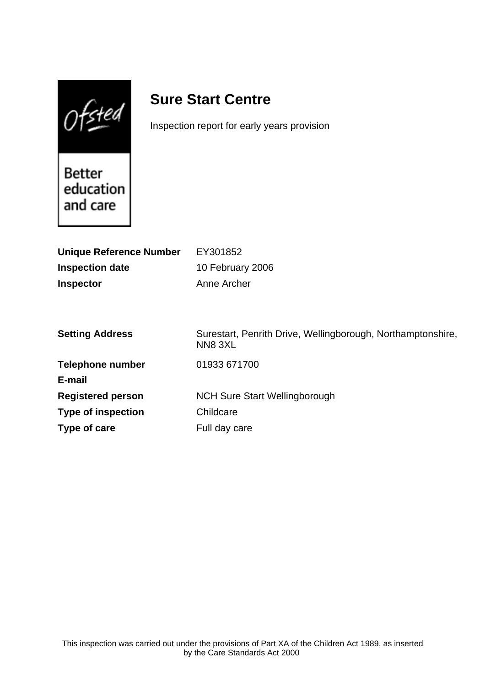$0$ fsted

# **Sure Start Centre**

Inspection report for early years provision

Better education and care

| <b>Unique Reference Number</b> | EY301852                                                              |
|--------------------------------|-----------------------------------------------------------------------|
| <b>Inspection date</b>         | 10 February 2006                                                      |
| <b>Inspector</b>               | Anne Archer                                                           |
|                                |                                                                       |
|                                |                                                                       |
| <b>Setting Address</b>         | Surestart, Penrith Drive, Wellingborough, Northamptonshire,<br>NN83XL |
| <b>Telephone number</b>        | 01933 671700                                                          |
| E-mail                         |                                                                       |
| <b>Registered person</b>       | <b>NCH Sure Start Wellingborough</b>                                  |
| <b>Type of inspection</b>      | Childcare                                                             |
| Type of care                   | Full day care                                                         |
|                                |                                                                       |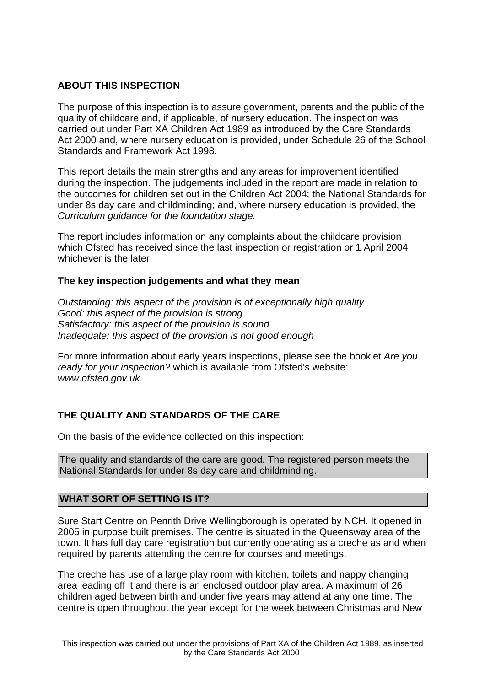## **ABOUT THIS INSPECTION**

The purpose of this inspection is to assure government, parents and the public of the quality of childcare and, if applicable, of nursery education. The inspection was carried out under Part XA Children Act 1989 as introduced by the Care Standards Act 2000 and, where nursery education is provided, under Schedule 26 of the School Standards and Framework Act 1998.

This report details the main strengths and any areas for improvement identified during the inspection. The judgements included in the report are made in relation to the outcomes for children set out in the Children Act 2004; the National Standards for under 8s day care and childminding; and, where nursery education is provided, the Curriculum guidance for the foundation stage.

The report includes information on any complaints about the childcare provision which Ofsted has received since the last inspection or registration or 1 April 2004 whichever is the later.

## **The key inspection judgements and what they mean**

Outstanding: this aspect of the provision is of exceptionally high quality Good: this aspect of the provision is strong Satisfactory: this aspect of the provision is sound Inadequate: this aspect of the provision is not good enough

For more information about early years inspections, please see the booklet Are you ready for your inspection? which is available from Ofsted's website: www.ofsted.gov.uk.

# **THE QUALITY AND STANDARDS OF THE CARE**

On the basis of the evidence collected on this inspection:

The quality and standards of the care are good. The registered person meets the National Standards for under 8s day care and childminding.

## **WHAT SORT OF SETTING IS IT?**

Sure Start Centre on Penrith Drive Wellingborough is operated by NCH. It opened in 2005 in purpose built premises. The centre is situated in the Queensway area of the town. It has full day care registration but currently operating as a creche as and when required by parents attending the centre for courses and meetings.

The creche has use of a large play room with kitchen, toilets and nappy changing area leading off it and there is an enclosed outdoor play area. A maximum of 26 children aged between birth and under five years may attend at any one time. The centre is open throughout the year except for the week between Christmas and New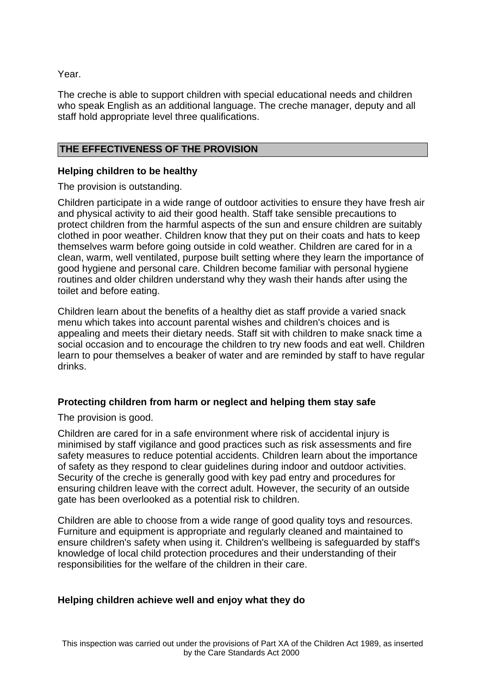Year.

The creche is able to support children with special educational needs and children who speak English as an additional language. The creche manager, deputy and all staff hold appropriate level three qualifications.

## **THE EFFECTIVENESS OF THE PROVISION**

## **Helping children to be healthy**

The provision is outstanding.

Children participate in a wide range of outdoor activities to ensure they have fresh air and physical activity to aid their good health. Staff take sensible precautions to protect children from the harmful aspects of the sun and ensure children are suitably clothed in poor weather. Children know that they put on their coats and hats to keep themselves warm before going outside in cold weather. Children are cared for in a clean, warm, well ventilated, purpose built setting where they learn the importance of good hygiene and personal care. Children become familiar with personal hygiene routines and older children understand why they wash their hands after using the toilet and before eating.

Children learn about the benefits of a healthy diet as staff provide a varied snack menu which takes into account parental wishes and children's choices and is appealing and meets their dietary needs. Staff sit with children to make snack time a social occasion and to encourage the children to try new foods and eat well. Children learn to pour themselves a beaker of water and are reminded by staff to have regular drinks.

## **Protecting children from harm or neglect and helping them stay safe**

The provision is good.

Children are cared for in a safe environment where risk of accidental injury is minimised by staff vigilance and good practices such as risk assessments and fire safety measures to reduce potential accidents. Children learn about the importance of safety as they respond to clear guidelines during indoor and outdoor activities. Security of the creche is generally good with key pad entry and procedures for ensuring children leave with the correct adult. However, the security of an outside gate has been overlooked as a potential risk to children.

Children are able to choose from a wide range of good quality toys and resources. Furniture and equipment is appropriate and regularly cleaned and maintained to ensure children's safety when using it. Children's wellbeing is safeguarded by staff's knowledge of local child protection procedures and their understanding of their responsibilities for the welfare of the children in their care.

# **Helping children achieve well and enjoy what they do**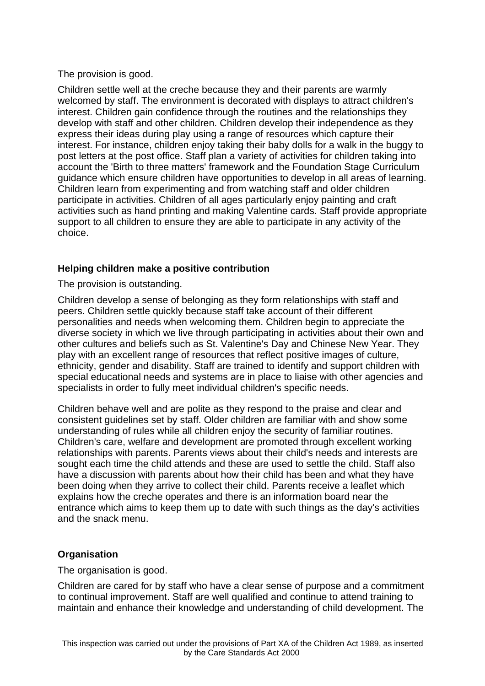## The provision is good.

Children settle well at the creche because they and their parents are warmly welcomed by staff. The environment is decorated with displays to attract children's interest. Children gain confidence through the routines and the relationships they develop with staff and other children. Children develop their independence as they express their ideas during play using a range of resources which capture their interest. For instance, children enjoy taking their baby dolls for a walk in the buggy to post letters at the post office. Staff plan a variety of activities for children taking into account the 'Birth to three matters' framework and the Foundation Stage Curriculum guidance which ensure children have opportunities to develop in all areas of learning. Children learn from experimenting and from watching staff and older children participate in activities. Children of all ages particularly enjoy painting and craft activities such as hand printing and making Valentine cards. Staff provide appropriate support to all children to ensure they are able to participate in any activity of the choice.

## **Helping children make a positive contribution**

The provision is outstanding.

Children develop a sense of belonging as they form relationships with staff and peers. Children settle quickly because staff take account of their different personalities and needs when welcoming them. Children begin to appreciate the diverse society in which we live through participating in activities about their own and other cultures and beliefs such as St. Valentine's Day and Chinese New Year. They play with an excellent range of resources that reflect positive images of culture, ethnicity, gender and disability. Staff are trained to identify and support children with special educational needs and systems are in place to liaise with other agencies and specialists in order to fully meet individual children's specific needs.

Children behave well and are polite as they respond to the praise and clear and consistent guidelines set by staff. Older children are familiar with and show some understanding of rules while all children enjoy the security of familiar routines. Children's care, welfare and development are promoted through excellent working relationships with parents. Parents views about their child's needs and interests are sought each time the child attends and these are used to settle the child. Staff also have a discussion with parents about how their child has been and what they have been doing when they arrive to collect their child. Parents receive a leaflet which explains how the creche operates and there is an information board near the entrance which aims to keep them up to date with such things as the day's activities and the snack menu.

# **Organisation**

## The organisation is good.

Children are cared for by staff who have a clear sense of purpose and a commitment to continual improvement. Staff are well qualified and continue to attend training to maintain and enhance their knowledge and understanding of child development. The